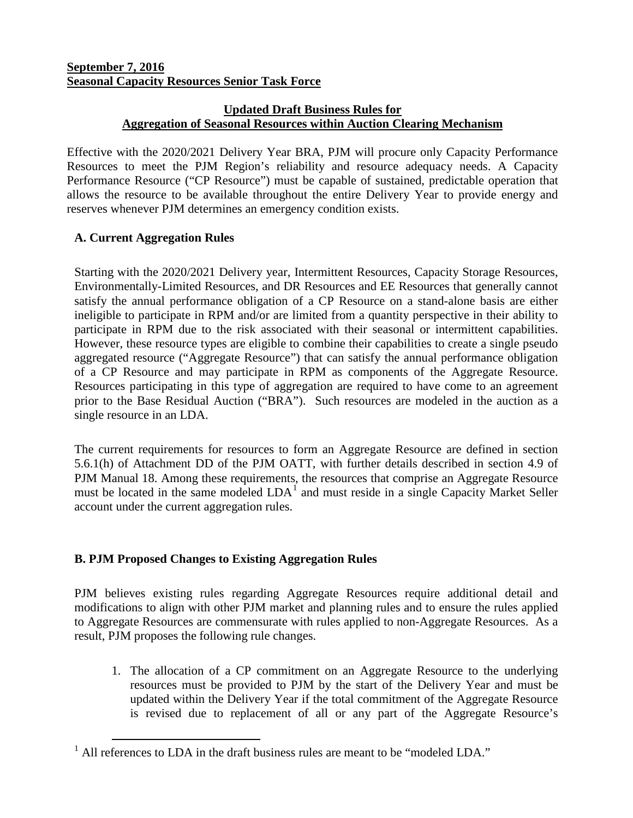## **September 7, 2016 Seasonal Capacity Resources Senior Task Force**

## **Updated Draft Business Rules for Aggregation of Seasonal Resources within Auction Clearing Mechanism**

Effective with the 2020/2021 Delivery Year BRA, PJM will procure only Capacity Performance Resources to meet the PJM Region's reliability and resource adequacy needs. A Capacity Performance Resource ("CP Resource") must be capable of sustained, predictable operation that allows the resource to be available throughout the entire Delivery Year to provide energy and reserves whenever PJM determines an emergency condition exists.

# **A. Current Aggregation Rules**

Starting with the 2020/2021 Delivery year, Intermittent Resources, Capacity Storage Resources, Environmentally-Limited Resources, and DR Resources and EE Resources that generally cannot satisfy the annual performance obligation of a CP Resource on a stand-alone basis are either ineligible to participate in RPM and/or are limited from a quantity perspective in their ability to participate in RPM due to the risk associated with their seasonal or intermittent capabilities. However, these resource types are eligible to combine their capabilities to create a single pseudo aggregated resource ("Aggregate Resource") that can satisfy the annual performance obligation of a CP Resource and may participate in RPM as components of the Aggregate Resource. Resources participating in this type of aggregation are required to have come to an agreement prior to the Base Residual Auction ("BRA"). Such resources are modeled in the auction as a single resource in an LDA.

The current requirements for resources to form an Aggregate Resource are defined in section 5.6.1(h) of Attachment DD of the PJM OATT, with further details described in section 4.9 of PJM Manual 18. Among these requirements, the resources that comprise an Aggregate Resource must be located in the same modeled  $LDA<sup>1</sup>$  $LDA<sup>1</sup>$  $LDA<sup>1</sup>$  and must reside in a single Capacity Market Seller account under the current aggregation rules.

# **B. PJM Proposed Changes to Existing Aggregation Rules**

PJM believes existing rules regarding Aggregate Resources require additional detail and modifications to align with other PJM market and planning rules and to ensure the rules applied to Aggregate Resources are commensurate with rules applied to non-Aggregate Resources. As a result, PJM proposes the following rule changes.

1. The allocation of a CP commitment on an Aggregate Resource to the underlying resources must be provided to PJM by the start of the Delivery Year and must be updated within the Delivery Year if the total commitment of the Aggregate Resource is revised due to replacement of all or any part of the Aggregate Resource's

<span id="page-0-0"></span><sup>&</sup>lt;sup>1</sup> All references to LDA in the draft business rules are meant to be "modeled LDA."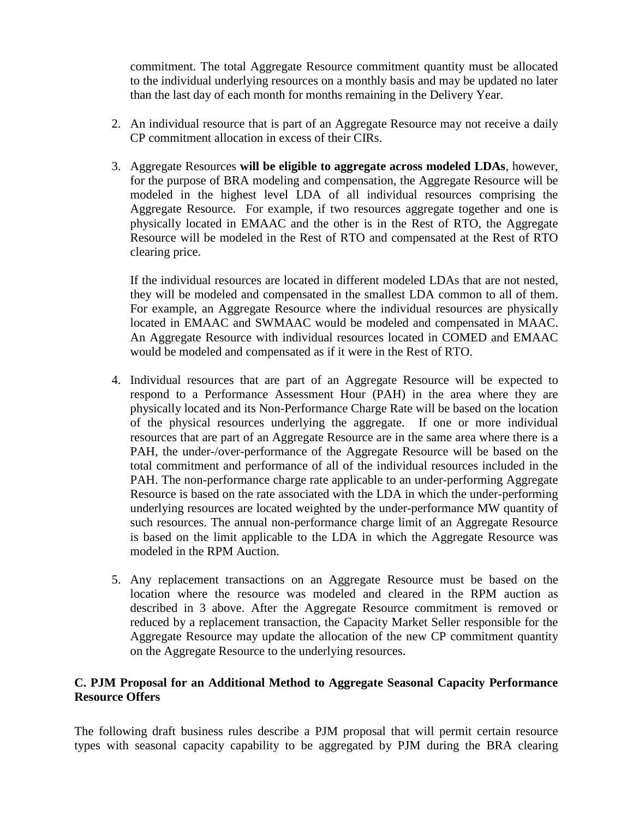commitment. The total Aggregate Resource commitment quantity must be allocated to the individual underlying resources on a monthly basis and may be updated no later than the last day of each month for months remaining in the Delivery Year.

- 2. An individual resource that is part of an Aggregate Resource may not receive a daily CP commitment allocation in excess of their CIRs.
- 3. Aggregate Resources **will be eligible to aggregate across modeled LDAs**, however, for the purpose of BRA modeling and compensation, the Aggregate Resource will be modeled in the highest level LDA of all individual resources comprising the Aggregate Resource. For example, if two resources aggregate together and one is physically located in EMAAC and the other is in the Rest of RTO, the Aggregate Resource will be modeled in the Rest of RTO and compensated at the Rest of RTO clearing price.

If the individual resources are located in different modeled LDAs that are not nested, they will be modeled and compensated in the smallest LDA common to all of them. For example, an Aggregate Resource where the individual resources are physically located in EMAAC and SWMAAC would be modeled and compensated in MAAC. An Aggregate Resource with individual resources located in COMED and EMAAC would be modeled and compensated as if it were in the Rest of RTO.

- 4. Individual resources that are part of an Aggregate Resource will be expected to respond to a Performance Assessment Hour (PAH) in the area where they are physically located and its Non-Performance Charge Rate will be based on the location of the physical resources underlying the aggregate. If one or more individual resources that are part of an Aggregate Resource are in the same area where there is a PAH, the under-/over-performance of the Aggregate Resource will be based on the total commitment and performance of all of the individual resources included in the PAH. The non-performance charge rate applicable to an under-performing Aggregate Resource is based on the rate associated with the LDA in which the under-performing underlying resources are located weighted by the under-performance MW quantity of such resources. The annual non-performance charge limit of an Aggregate Resource is based on the limit applicable to the LDA in which the Aggregate Resource was modeled in the RPM Auction.
- 5. Any replacement transactions on an Aggregate Resource must be based on the location where the resource was modeled and cleared in the RPM auction as described in 3 above. After the Aggregate Resource commitment is removed or reduced by a replacement transaction, the Capacity Market Seller responsible for the Aggregate Resource may update the allocation of the new CP commitment quantity on the Aggregate Resource to the underlying resources.

#### **C. PJM Proposal for an Additional Method to Aggregate Seasonal Capacity Performance Resource Offers**

The following draft business rules describe a PJM proposal that will permit certain resource types with seasonal capacity capability to be aggregated by PJM during the BRA clearing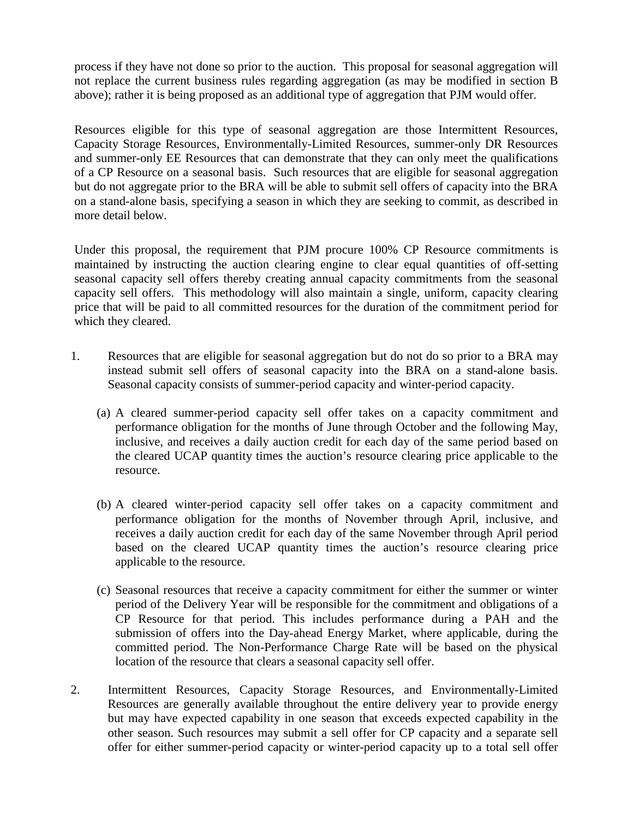process if they have not done so prior to the auction. This proposal for seasonal aggregation will not replace the current business rules regarding aggregation (as may be modified in section B above); rather it is being proposed as an additional type of aggregation that PJM would offer.

Resources eligible for this type of seasonal aggregation are those Intermittent Resources, Capacity Storage Resources, Environmentally-Limited Resources, summer-only DR Resources and summer-only EE Resources that can demonstrate that they can only meet the qualifications of a CP Resource on a seasonal basis. Such resources that are eligible for seasonal aggregation but do not aggregate prior to the BRA will be able to submit sell offers of capacity into the BRA on a stand-alone basis, specifying a season in which they are seeking to commit, as described in more detail below.

Under this proposal, the requirement that PJM procure 100% CP Resource commitments is maintained by instructing the auction clearing engine to clear equal quantities of off-setting seasonal capacity sell offers thereby creating annual capacity commitments from the seasonal capacity sell offers. This methodology will also maintain a single, uniform, capacity clearing price that will be paid to all committed resources for the duration of the commitment period for which they cleared.

- 1. Resources that are eligible for seasonal aggregation but do not do so prior to a BRA may instead submit sell offers of seasonal capacity into the BRA on a stand-alone basis. Seasonal capacity consists of summer-period capacity and winter-period capacity.
	- (a) A cleared summer-period capacity sell offer takes on a capacity commitment and performance obligation for the months of June through October and the following May, inclusive, and receives a daily auction credit for each day of the same period based on the cleared UCAP quantity times the auction's resource clearing price applicable to the resource.
	- (b) A cleared winter-period capacity sell offer takes on a capacity commitment and performance obligation for the months of November through April, inclusive, and receives a daily auction credit for each day of the same November through April period based on the cleared UCAP quantity times the auction's resource clearing price applicable to the resource.
	- (c) Seasonal resources that receive a capacity commitment for either the summer or winter period of the Delivery Year will be responsible for the commitment and obligations of a CP Resource for that period. This includes performance during a PAH and the submission of offers into the Day-ahead Energy Market, where applicable, during the committed period. The Non-Performance Charge Rate will be based on the physical location of the resource that clears a seasonal capacity sell offer.
- 2. Intermittent Resources, Capacity Storage Resources, and Environmentally-Limited Resources are generally available throughout the entire delivery year to provide energy but may have expected capability in one season that exceeds expected capability in the other season. Such resources may submit a sell offer for CP capacity and a separate sell offer for either summer-period capacity or winter-period capacity up to a total sell offer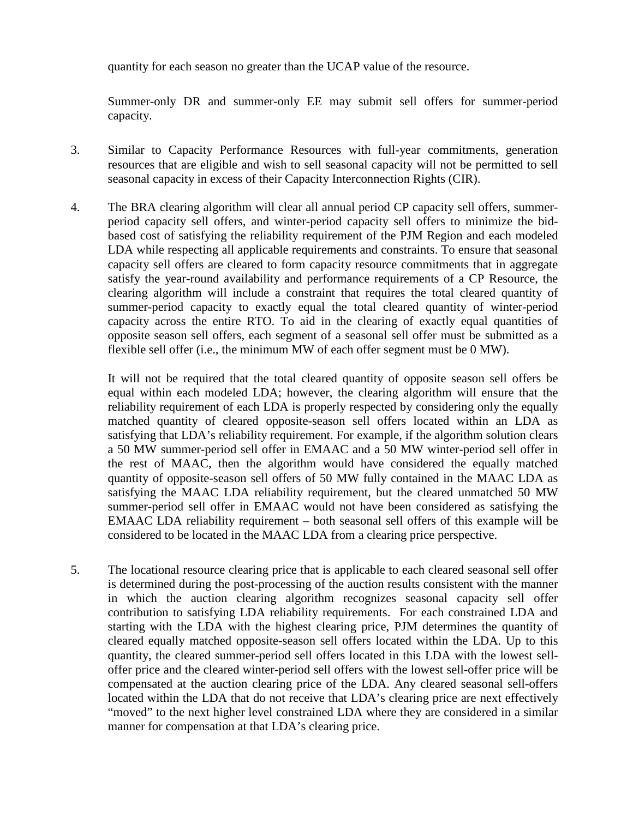quantity for each season no greater than the UCAP value of the resource.

Summer-only DR and summer-only EE may submit sell offers for summer-period capacity.

- 3. Similar to Capacity Performance Resources with full-year commitments, generation resources that are eligible and wish to sell seasonal capacity will not be permitted to sell seasonal capacity in excess of their Capacity Interconnection Rights (CIR).
- 4. The BRA clearing algorithm will clear all annual period CP capacity sell offers, summerperiod capacity sell offers, and winter-period capacity sell offers to minimize the bidbased cost of satisfying the reliability requirement of the PJM Region and each modeled LDA while respecting all applicable requirements and constraints. To ensure that seasonal capacity sell offers are cleared to form capacity resource commitments that in aggregate satisfy the year-round availability and performance requirements of a CP Resource, the clearing algorithm will include a constraint that requires the total cleared quantity of summer-period capacity to exactly equal the total cleared quantity of winter-period capacity across the entire RTO. To aid in the clearing of exactly equal quantities of opposite season sell offers, each segment of a seasonal sell offer must be submitted as a flexible sell offer (i.e., the minimum MW of each offer segment must be 0 MW).

It will not be required that the total cleared quantity of opposite season sell offers be equal within each modeled LDA; however, the clearing algorithm will ensure that the reliability requirement of each LDA is properly respected by considering only the equally matched quantity of cleared opposite-season sell offers located within an LDA as satisfying that LDA's reliability requirement. For example, if the algorithm solution clears a 50 MW summer-period sell offer in EMAAC and a 50 MW winter-period sell offer in the rest of MAAC, then the algorithm would have considered the equally matched quantity of opposite-season sell offers of 50 MW fully contained in the MAAC LDA as satisfying the MAAC LDA reliability requirement, but the cleared unmatched 50 MW summer-period sell offer in EMAAC would not have been considered as satisfying the EMAAC LDA reliability requirement – both seasonal sell offers of this example will be considered to be located in the MAAC LDA from a clearing price perspective.

5. The locational resource clearing price that is applicable to each cleared seasonal sell offer is determined during the post-processing of the auction results consistent with the manner in which the auction clearing algorithm recognizes seasonal capacity sell offer contribution to satisfying LDA reliability requirements. For each constrained LDA and starting with the LDA with the highest clearing price, PJM determines the quantity of cleared equally matched opposite-season sell offers located within the LDA. Up to this quantity, the cleared summer-period sell offers located in this LDA with the lowest selloffer price and the cleared winter-period sell offers with the lowest sell-offer price will be compensated at the auction clearing price of the LDA. Any cleared seasonal sell-offers located within the LDA that do not receive that LDA's clearing price are next effectively "moved" to the next higher level constrained LDA where they are considered in a similar manner for compensation at that LDA's clearing price.